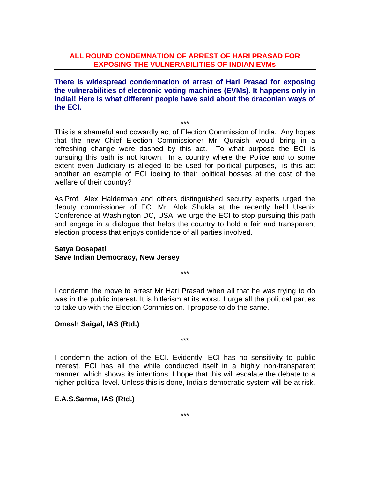## **ALL ROUND CONDEMNATION OF ARREST OF HARI PRASAD FOR EXPOSING THE VULNERABILITIES OF INDIAN EVMs**

**There is widespread condemnation of arrest of Hari Prasad for exposing the vulnerabilities of electronic voting machines (EVMs). It happens only in India!! Here is what different people have said about the draconian ways of the ECI.** 

\*\*\*

This is a shameful and cowardly act of Election Commission of India. Any hopes that the new Chief Election Commissioner Mr. Quraishi would bring in a refreshing change were dashed by this act. To what purpose the ECI is pursuing this path is not known. In a country where the Police and to some extent even Judiciary is alleged to be used for political purposes, is this act another an example of ECI toeing to their political bosses at the cost of the welfare of their country?

As Prof. Alex Halderman and others distinguished security experts urged the deputy commissioner of ECI Mr. Alok Shukla at the recently held Usenix Conference at Washington DC, USA, we urge the ECI to stop pursuing this path and engage in a dialogue that helps the country to hold a fair and transparent election process that enjoys confidence of all parties involved.

### **Satya Dosapati Save Indian Democracy, New Jersey**

I condemn the move to arrest Mr Hari Prasad when all that he was trying to do was in the public interest. It is hitlerism at its worst. I urge all the political parties to take up with the Election Commission. I propose to do the same.

\*\*\*

## **Omesh Saigal, IAS (Rtd.)**

I condemn the action of the ECI. Evidently, ECI has no sensitivity to public interest. ECI has all the while conducted itself in a highly non-transparent manner, which shows its intentions. I hope that this will escalate the debate to a higher political level. Unless this is done, India's democratic system will be at risk.

\*\*\*

## **E.A.S.Sarma, IAS (Rtd.)**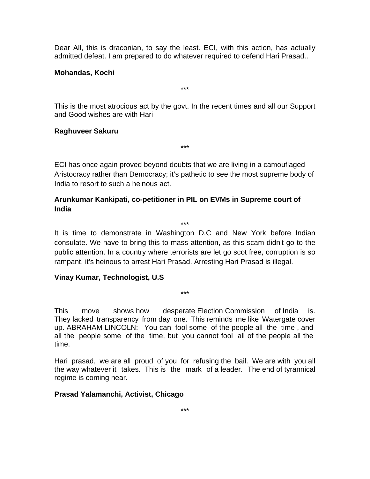Dear All, this is draconian, to say the least. ECI, with this action, has actually admitted defeat. I am prepared to do whatever required to defend Hari Prasad..

### **Mohandas, Kochi**

This is the most atrocious act by the govt. In the recent times and all our Support and Good wishes are with Hari

\*\*\*

# **Raghuveer Sakuru**

ECI has once again proved beyond doubts that we are living in a camouflaged Aristocracy rather than Democracy; it's pathetic to see the most supreme body of India to resort to such a heinous act.

\*\*\*

# **Arunkumar Kankipati, co-petitioner in PIL on EVMs in Supreme court of India**

\*\*\*

It is time to demonstrate in Washington D.C and New York before Indian consulate. We have to bring this to mass attention, as this scam didn't go to the public attention. In a country where terrorists are let go scot free, corruption is so rampant, it's heinous to arrest Hari Prasad. Arresting Hari Prasad is illegal.

## **Vinay Kumar, Technologist, U.S**

This move shows how desperate Election Commission of India is. They lacked transparency from day one. This reminds me like Watergate cover up. ABRAHAM LINCOLN: You can fool some of the people all the time , and all the people some of the time, but you cannot fool all of the people all the time.

\*\*\*

Hari prasad, we are all proud of you for refusing the bail. We are with you all the way whatever it takes. This is the mark of a leader. The end of tyrannical regime is coming near.

## **Prasad Yalamanchi, Activist, Chicago**

\*\*\*